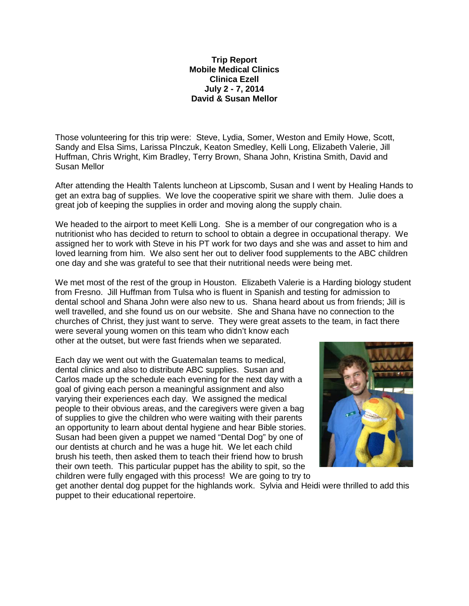## **Trip Report Mobile Medical Clinics Clinica Ezell July 2 - 7, 2014 David & Susan Mellor**

Those volunteering for this trip were: Steve, Lydia, Somer, Weston and Emily Howe, Scott, Sandy and Elsa Sims, Larissa PInczuk, Keaton Smedley, Kelli Long, Elizabeth Valerie, Jill Huffman, Chris Wright, Kim Bradley, Terry Brown, Shana John, Kristina Smith, David and Susan Mellor

After attending the Health Talents luncheon at Lipscomb, Susan and I went by Healing Hands to get an extra bag of supplies. We love the cooperative spirit we share with them. Julie does a great job of keeping the supplies in order and moving along the supply chain.

We headed to the airport to meet Kelli Long. She is a member of our congregation who is a nutritionist who has decided to return to school to obtain a degree in occupational therapy. We assigned her to work with Steve in his PT work for two days and she was and asset to him and loved learning from him. We also sent her out to deliver food supplements to the ABC children one day and she was grateful to see that their nutritional needs were being met.

We met most of the rest of the group in Houston. Elizabeth Valerie is a Harding biology student from Fresno. Jill Huffman from Tulsa who is fluent in Spanish and testing for admission to dental school and Shana John were also new to us. Shana heard about us from friends; Jill is well travelled, and she found us on our website. She and Shana have no connection to the churches of Christ, they just want to serve. They were great assets to the team, in fact there were several young women on this team who didn't know each

other at the outset, but were fast friends when we separated.

Each day we went out with the Guatemalan teams to medical, dental clinics and also to distribute ABC supplies. Susan and Carlos made up the schedule each evening for the next day with a goal of giving each person a meaningful assignment and also varying their experiences each day. We assigned the medical people to their obvious areas, and the caregivers were given a bag of supplies to give the children who were waiting with their parents an opportunity to learn about dental hygiene and hear Bible stories. Susan had been given a puppet we named "Dental Dog" by one of our dentists at church and he was a huge hit. We let each child brush his teeth, then asked them to teach their friend how to brush their own teeth. This particular puppet has the ability to spit, so the children were fully engaged with this process! We are going to try to



get another dental dog puppet for the highlands work. Sylvia and Heidi were thrilled to add this puppet to their educational repertoire.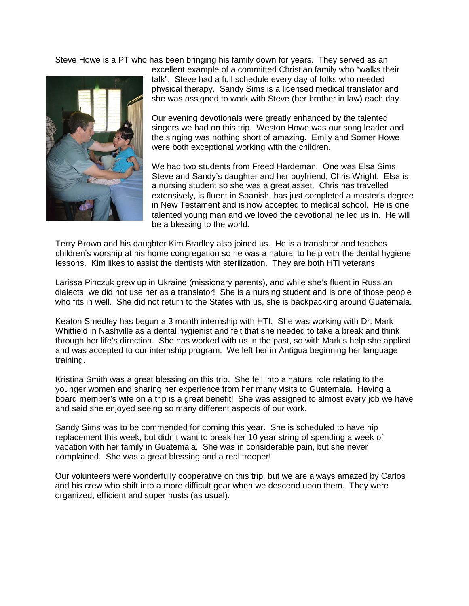Steve Howe is a PT who has been bringing his family down for years. They served as an



excellent example of a committed Christian family who "walks their talk". Steve had a full schedule every day of folks who needed physical therapy. Sandy Sims is a licensed medical translator and she was assigned to work with Steve (her brother in law) each day.

Our evening devotionals were greatly enhanced by the talented singers we had on this trip. Weston Howe was our song leader and the singing was nothing short of amazing. Emily and Somer Howe were both exceptional working with the children.

We had two students from Freed Hardeman. One was Elsa Sims, Steve and Sandy's daughter and her boyfriend, Chris Wright. Elsa is a nursing student so she was a great asset. Chris has travelled extensively, is fluent in Spanish, has just completed a master's degree in New Testament and is now accepted to medical school. He is one talented young man and we loved the devotional he led us in. He will be a blessing to the world.

Terry Brown and his daughter Kim Bradley also joined us. He is a translator and teaches children's worship at his home congregation so he was a natural to help with the dental hygiene lessons. Kim likes to assist the dentists with sterilization. They are both HTI veterans.

Larissa Pinczuk grew up in Ukraine (missionary parents), and while she's fluent in Russian dialects, we did not use her as a translator! She is a nursing student and is one of those people who fits in well. She did not return to the States with us, she is backpacking around Guatemala.

Keaton Smedley has begun a 3 month internship with HTI. She was working with Dr. Mark Whitfield in Nashville as a dental hygienist and felt that she needed to take a break and think through her life's direction. She has worked with us in the past, so with Mark's help she applied and was accepted to our internship program. We left her in Antigua beginning her language training.

Kristina Smith was a great blessing on this trip. She fell into a natural role relating to the younger women and sharing her experience from her many visits to Guatemala. Having a board member's wife on a trip is a great benefit! She was assigned to almost every job we have and said she enjoyed seeing so many different aspects of our work.

Sandy Sims was to be commended for coming this year. She is scheduled to have hip replacement this week, but didn't want to break her 10 year string of spending a week of vacation with her family in Guatemala. She was in considerable pain, but she never complained. She was a great blessing and a real trooper!

Our volunteers were wonderfully cooperative on this trip, but we are always amazed by Carlos and his crew who shift into a more difficult gear when we descend upon them. They were organized, efficient and super hosts (as usual).